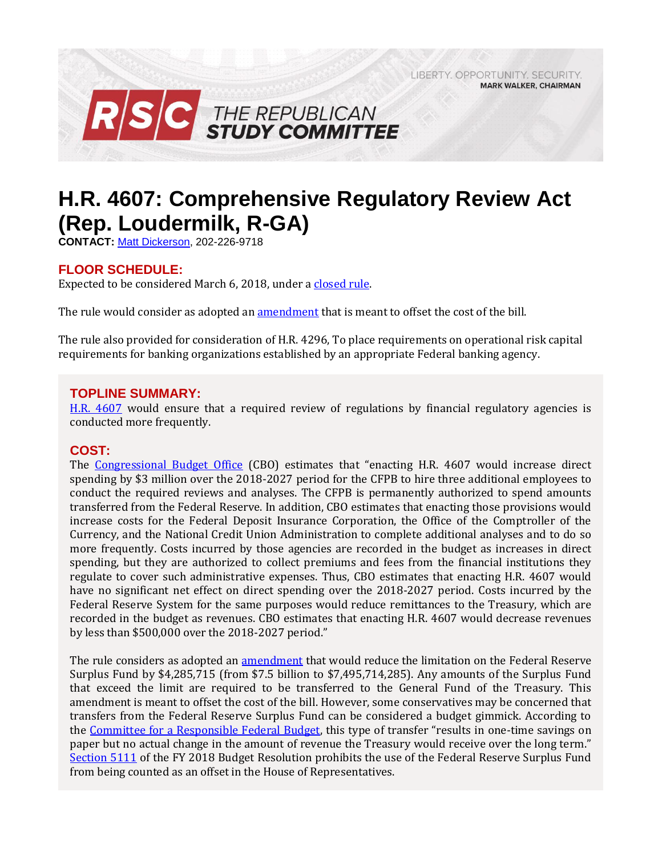LIBERTY, OPPORTUNITY, SECURITY, **MARK WALKER, CHAIRMAN** 



# **H.R. 4607: Comprehensive Regulatory Review Act (Rep. Loudermilk, R-GA)**

**CONTACT:** [Matt Dickerson,](mailto:Matthew.Dickerson@mail.house.gov) 202-226-9718

# **FLOOR SCHEDULE:**

Expected to be considered March 6, 2018, under [a closed rule.](https://rules.house.gov/bill/115/hr-4607)

The rule would consider as adopted an [amendment](https://amendments-rules.house.gov/amendments/HR4607_Fed_xml223181415161516.pdf) that is meant to offset the cost of the bill.

The rule also provided for consideration of H.R. 4296, To place requirements on operational risk capital requirements for banking organizations established by an appropriate Federal banking agency.

## **TOPLINE SUMMARY:**

[H.R. 4607](https://rules.house.gov/sites/republicans.rules.house.gov/files/BILLS-115HR4607-RCP115-61.pdf) would ensure that a required review of regulations by financial regulatory agencies is conducted more frequently.

### **COST:**

The [Congressional Budget Office](https://www.cbo.gov/system/files/115th-congress-2017-2018/costestimate/hr4607.pdf) (CBO) estimates that "enacting H.R. 4607 would increase direct spending by \$3 million over the 2018-2027 period for the CFPB to hire three additional employees to conduct the required reviews and analyses. The CFPB is permanently authorized to spend amounts transferred from the Federal Reserve. In addition, CBO estimates that enacting those provisions would increase costs for the Federal Deposit Insurance Corporation, the Office of the Comptroller of the Currency, and the National Credit Union Administration to complete additional analyses and to do so more frequently. Costs incurred by those agencies are recorded in the budget as increases in direct spending, but they are authorized to collect premiums and fees from the financial institutions they regulate to cover such administrative expenses. Thus, CBO estimates that enacting H.R. 4607 would have no significant net effect on direct spending over the 2018-2027 period. Costs incurred by the Federal Reserve System for the same purposes would reduce remittances to the Treasury, which are recorded in the budget as revenues. CBO estimates that enacting H.R. 4607 would decrease revenues by less than \$500,000 over the 2018-2027 period."

The rule considers as adopted an [amendment](https://amendments-rules.house.gov/amendments/HR4607_Fed_xml223181415161516.pdf) that would reduce the limitation on the Federal Reserve Surplus Fund by \$4,285,715 (from \$7.5 billion to \$7,495,714,285). Any amounts of the Surplus Fund that exceed the limit are required to be transferred to the General Fund of the Treasury. This amendment is meant to offset the cost of the bill. However, some conservatives may be concerned that transfers from the Federal Reserve Surplus Fund can be considered a budget gimmick. According to the [Committee for a Responsible Federal Budget](http://www.crfb.org/blogs/federal-reserve-budget-gimmick-house-transportation-bill), this type of transfer "results in one-time savings on paper but no actual change in the amount of revenue the Treasury would receive over the long term." [Section 5111](https://www.congress.gov/115/bills/hconres71/BILLS-115hconres71enr.pdf#page=45) of the FY 2018 Budget Resolution prohibits the use of the Federal Reserve Surplus Fund from being counted as an offset in the House of Representatives.